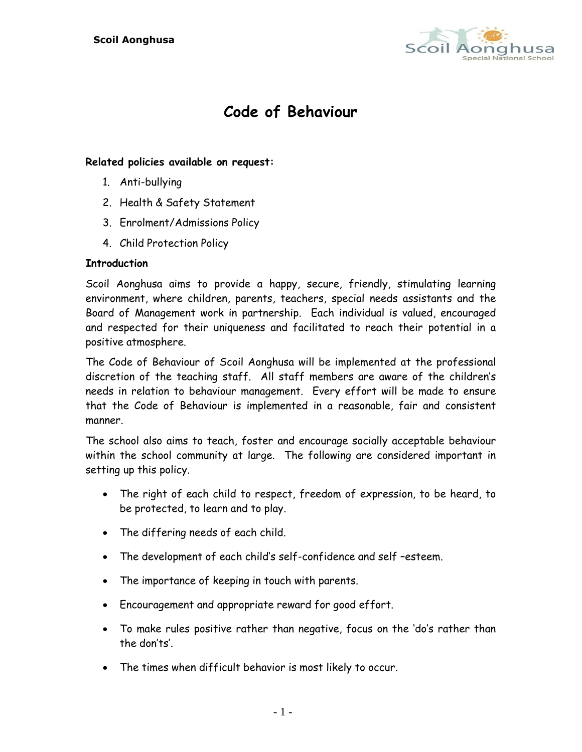

# **Code of Behaviour**

## **Related policies available on request:**

- 1. Anti-bullying
- 2. Health & Safety Statement
- 3. Enrolment/Admissions Policy
- 4. Child Protection Policy

## **Introduction**

Scoil Aonghusa aims to provide a happy, secure, friendly, stimulating learning environment, where children, parents, teachers, special needs assistants and the Board of Management work in partnership. Each individual is valued, encouraged and respected for their uniqueness and facilitated to reach their potential in a positive atmosphere.

The Code of Behaviour of Scoil Aonghusa will be implemented at the professional discretion of the teaching staff. All staff members are aware of the children's needs in relation to behaviour management. Every effort will be made to ensure that the Code of Behaviour is implemented in a reasonable, fair and consistent manner.

The school also aims to teach, foster and encourage socially acceptable behaviour within the school community at large. The following are considered important in setting up this policy.

- The right of each child to respect, freedom of expression, to be heard, to be protected, to learn and to play.
- The differing needs of each child.
- The development of each child's self-confidence and self –esteem.
- The importance of keeping in touch with parents.
- Encouragement and appropriate reward for good effort.
- To make rules positive rather than negative, focus on the 'do's rather than the don'ts'.
- The times when difficult behavior is most likely to occur.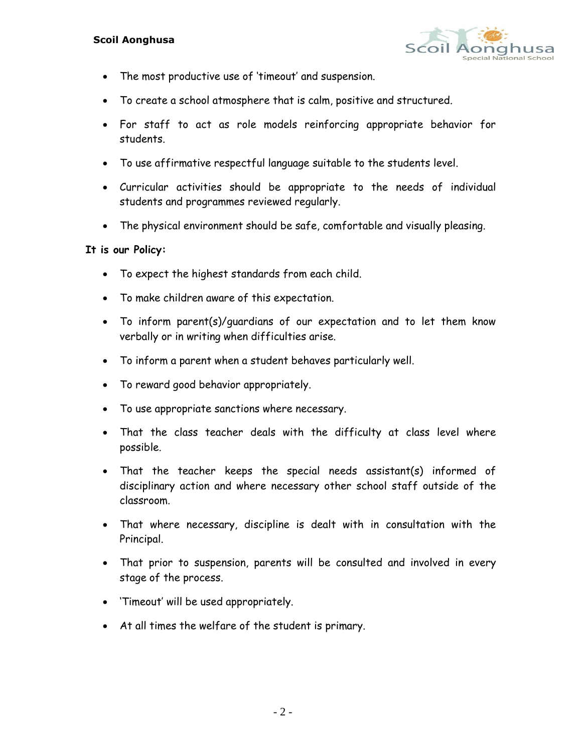

- The most productive use of 'timeout' and suspension.
- To create a school atmosphere that is calm, positive and structured.
- For staff to act as role models reinforcing appropriate behavior for students.
- To use affirmative respectful language suitable to the students level.
- Curricular activities should be appropriate to the needs of individual students and programmes reviewed regularly.
- The physical environment should be safe, comfortable and visually pleasing.

#### **It is our Policy:**

- To expect the highest standards from each child.
- To make children aware of this expectation.
- To inform parent(s)/guardians of our expectation and to let them know verbally or in writing when difficulties arise.
- To inform a parent when a student behaves particularly well.
- To reward good behavior appropriately.
- To use appropriate sanctions where necessary.
- That the class teacher deals with the difficulty at class level where possible.
- That the teacher keeps the special needs assistant(s) informed of disciplinary action and where necessary other school staff outside of the classroom.
- That where necessary, discipline is dealt with in consultation with the Principal.
- That prior to suspension, parents will be consulted and involved in every stage of the process.
- 'Timeout' will be used appropriately.
- At all times the welfare of the student is primary.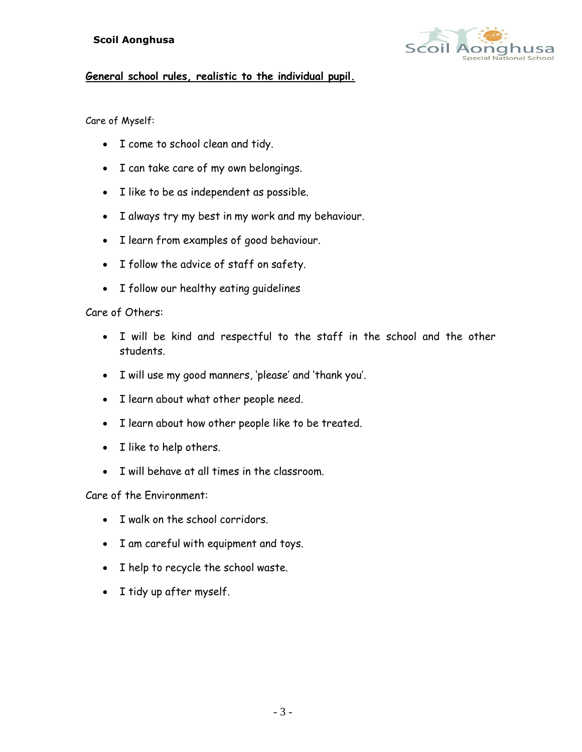

## **General school rules, realistic to the individual pupil.**

#### Care of Myself:

- I come to school clean and tidy.
- I can take care of my own belongings.
- I like to be as independent as possible.
- I always try my best in my work and my behaviour.
- I learn from examples of good behaviour.
- I follow the advice of staff on safety.
- I follow our healthy eating quidelines

### Care of Others:

- I will be kind and respectful to the staff in the school and the other students.
- I will use my good manners, 'please' and 'thank you'.
- I learn about what other people need.
- I learn about how other people like to be treated.
- I like to help others.
- I will behave at all times in the classroom.

Care of the Environment:

- T walk on the school corridors
- I am careful with equipment and toys.
- I help to recycle the school waste.
- I tidy up after myself.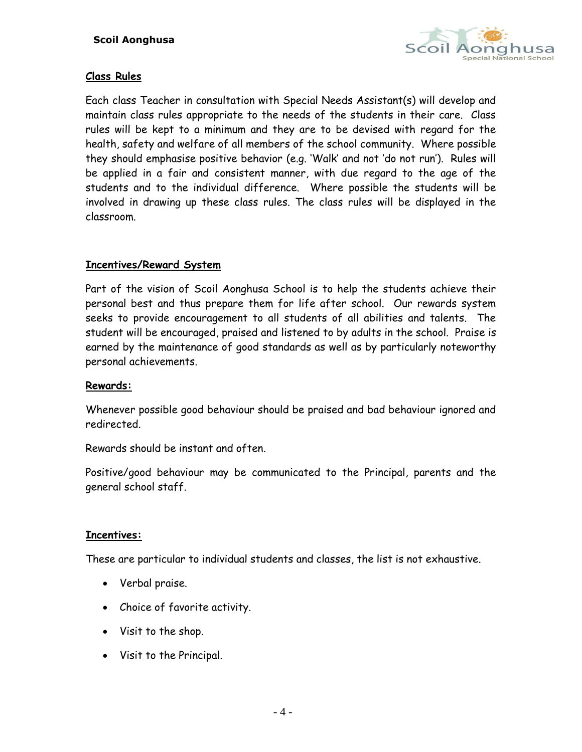

## **Class Rules**

Each class Teacher in consultation with Special Needs Assistant(s) will develop and maintain class rules appropriate to the needs of the students in their care. Class rules will be kept to a minimum and they are to be devised with regard for the health, safety and welfare of all members of the school community. Where possible they should emphasise positive behavior (e.g. 'Walk' and not 'do not run'). Rules will be applied in a fair and consistent manner, with due regard to the age of the students and to the individual difference. Where possible the students will be involved in drawing up these class rules. The class rules will be displayed in the classroom.

## **Incentives/Reward System**

Part of the vision of Scoil Aonghusa School is to help the students achieve their personal best and thus prepare them for life after school. Our rewards system seeks to provide encouragement to all students of all abilities and talents. The student will be encouraged, praised and listened to by adults in the school. Praise is earned by the maintenance of good standards as well as by particularly noteworthy personal achievements.

## **Rewards:**

Whenever possible good behaviour should be praised and bad behaviour ignored and redirected.

Rewards should be instant and often.

Positive/good behaviour may be communicated to the Principal, parents and the general school staff.

## **Incentives:**

These are particular to individual students and classes, the list is not exhaustive.

- Verbal praise.
- Choice of favorite activity.
- Visit to the shop.
- Visit to the Principal.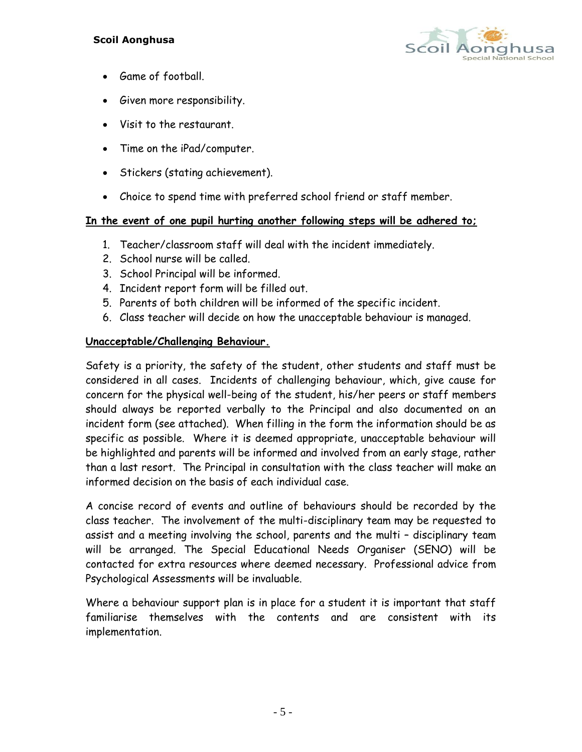

- Game of football.
- Given more responsibility.
- Visit to the restaurant.
- Time on the iPad/computer.
- Stickers (stating achievement).
- Choice to spend time with preferred school friend or staff member.

## **In the event of one pupil hurting another following steps will be adhered to;**

- 1. Teacher/classroom staff will deal with the incident immediately.
- 2. School nurse will be called.
- 3. School Principal will be informed.
- 4. Incident report form will be filled out.
- 5. Parents of both children will be informed of the specific incident.
- 6. Class teacher will decide on how the unacceptable behaviour is managed.

## **Unacceptable/Challenging Behaviour.**

Safety is a priority, the safety of the student, other students and staff must be considered in all cases. Incidents of challenging behaviour, which, give cause for concern for the physical well-being of the student, his/her peers or staff members should always be reported verbally to the Principal and also documented on an incident form (see attached). When filling in the form the information should be as specific as possible. Where it is deemed appropriate, unacceptable behaviour will be highlighted and parents will be informed and involved from an early stage, rather than a last resort. The Principal in consultation with the class teacher will make an informed decision on the basis of each individual case.

A concise record of events and outline of behaviours should be recorded by the class teacher. The involvement of the multi-disciplinary team may be requested to assist and a meeting involving the school, parents and the multi – disciplinary team will be arranged. The Special Educational Needs Organiser (SENO) will be contacted for extra resources where deemed necessary. Professional advice from Psychological Assessments will be invaluable.

Where a behaviour support plan is in place for a student it is important that staff familiarise themselves with the contents and are consistent with its implementation.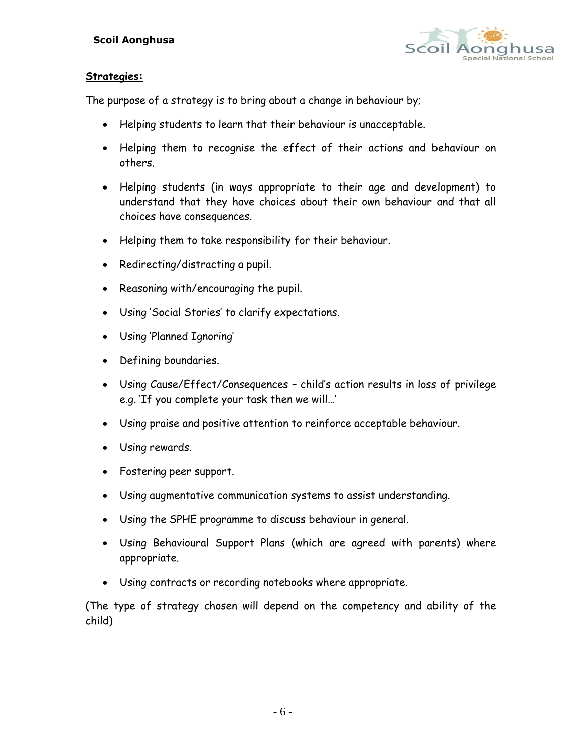

## **Strategies:**

The purpose of a strategy is to bring about a change in behaviour by;

- Helping students to learn that their behaviour is unacceptable.
- Helping them to recognise the effect of their actions and behaviour on others.
- Helping students (in ways appropriate to their age and development) to understand that they have choices about their own behaviour and that all choices have consequences.
- Helping them to take responsibility for their behaviour.
- Redirecting/distracting a pupil.
- Reasoning with/encouraging the pupil.
- Using 'Social Stories' to clarify expectations.
- Using 'Planned Ignoring'
- Defining boundaries.
- Using Cause/Effect/Consequences child's action results in loss of privilege e.g. 'If you complete your task then we will…'
- Using praise and positive attention to reinforce acceptable behaviour.
- Using rewards.
- Fostering peer support.
- Using augmentative communication systems to assist understanding.
- Using the SPHE programme to discuss behaviour in general.
- Using Behavioural Support Plans (which are agreed with parents) where appropriate.
- Using contracts or recording notebooks where appropriate.

(The type of strategy chosen will depend on the competency and ability of the child)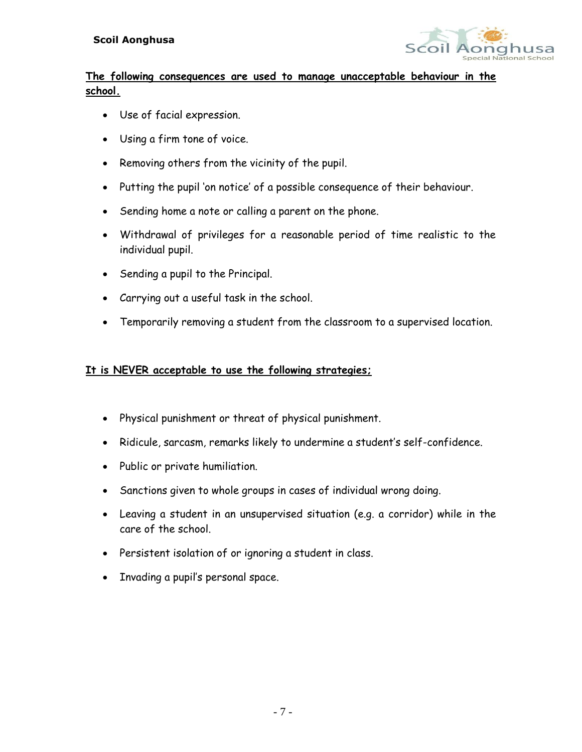

## **The following consequences are used to manage unacceptable behaviour in the school.**

- Use of facial expression.
- Using a firm tone of voice.
- Removing others from the vicinity of the pupil.
- Putting the pupil 'on notice' of a possible consequence of their behaviour.
- Sending home a note or calling a parent on the phone.
- Withdrawal of privileges for a reasonable period of time realistic to the individual pupil.
- Sending a pupil to the Principal.
- Carrying out a useful task in the school.
- Temporarily removing a student from the classroom to a supervised location.

## **It is NEVER acceptable to use the following strategies;**

- Physical punishment or threat of physical punishment.
- Ridicule, sarcasm, remarks likely to undermine a student's self-confidence.
- Public or private humiliation.
- Sanctions given to whole groups in cases of individual wrong doing.
- Leaving a student in an unsupervised situation (e.g. a corridor) while in the care of the school.
- Persistent isolation of or ignoring a student in class.
- Invading a pupil's personal space.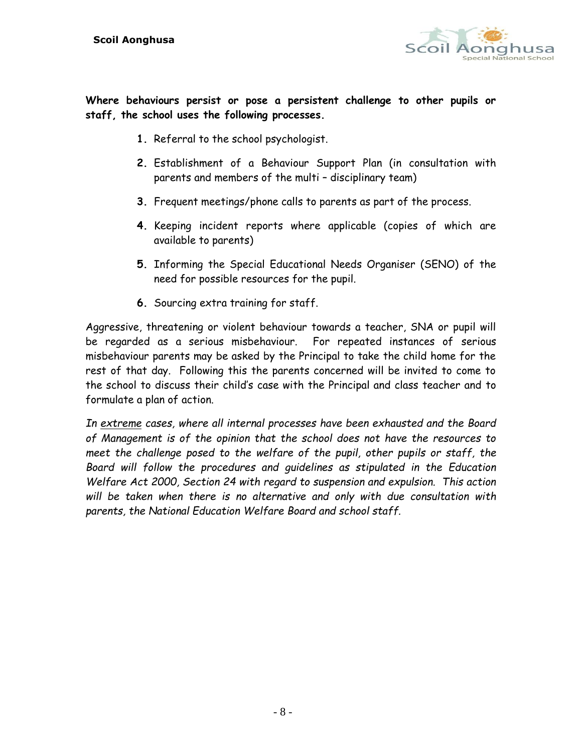

**Where behaviours persist or pose a persistent challenge to other pupils or staff, the school uses the following processes.** 

- **1.** Referral to the school psychologist.
- **2.** Establishment of a Behaviour Support Plan (in consultation with parents and members of the multi – disciplinary team)
- **3.** Frequent meetings/phone calls to parents as part of the process.
- **4.** Keeping incident reports where applicable (copies of which are available to parents)
- **5.** Informing the Special Educational Needs Organiser (SENO) of the need for possible resources for the pupil.
- **6.** Sourcing extra training for staff.

Aggressive, threatening or violent behaviour towards a teacher, SNA or pupil will be regarded as a serious misbehaviour. For repeated instances of serious misbehaviour parents may be asked by the Principal to take the child home for the rest of that day. Following this the parents concerned will be invited to come to the school to discuss their child's case with the Principal and class teacher and to formulate a plan of action.

*In extreme cases, where all internal processes have been exhausted and the Board of Management is of the opinion that the school does not have the resources to meet the challenge posed to the welfare of the pupil, other pupils or staff, the Board will follow the procedures and guidelines as stipulated in the Education Welfare Act 2000, Section 24 with regard to suspension and expulsion. This action will be taken when there is no alternative and only with due consultation with parents, the National Education Welfare Board and school staff.*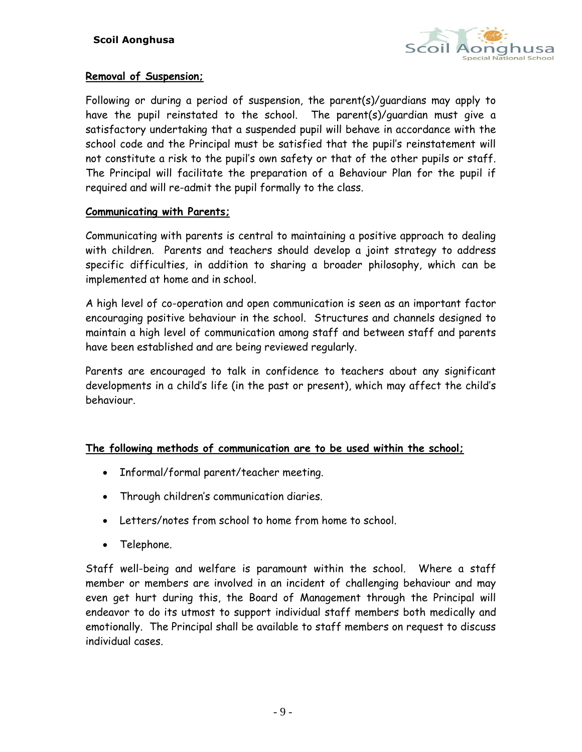

#### **Removal of Suspension;**

Following or during a period of suspension, the parent(s)/guardians may apply to have the pupil reinstated to the school. The parent(s)/guardian must give a satisfactory undertaking that a suspended pupil will behave in accordance with the school code and the Principal must be satisfied that the pupil's reinstatement will not constitute a risk to the pupil's own safety or that of the other pupils or staff. The Principal will facilitate the preparation of a Behaviour Plan for the pupil if required and will re-admit the pupil formally to the class.

#### **Communicating with Parents;**

Communicating with parents is central to maintaining a positive approach to dealing with children. Parents and teachers should develop a joint strategy to address specific difficulties, in addition to sharing a broader philosophy, which can be implemented at home and in school.

A high level of co-operation and open communication is seen as an important factor encouraging positive behaviour in the school. Structures and channels designed to maintain a high level of communication among staff and between staff and parents have been established and are being reviewed regularly.

Parents are encouraged to talk in confidence to teachers about any significant developments in a child's life (in the past or present), which may affect the child's behaviour.

#### **The following methods of communication are to be used within the school;**

- Informal/formal parent/teacher meeting.
- Through children's communication diaries.
- Letters/notes from school to home from home to school.
- Telephone.

Staff well-being and welfare is paramount within the school. Where a staff member or members are involved in an incident of challenging behaviour and may even get hurt during this, the Board of Management through the Principal will endeavor to do its utmost to support individual staff members both medically and emotionally. The Principal shall be available to staff members on request to discuss individual cases.